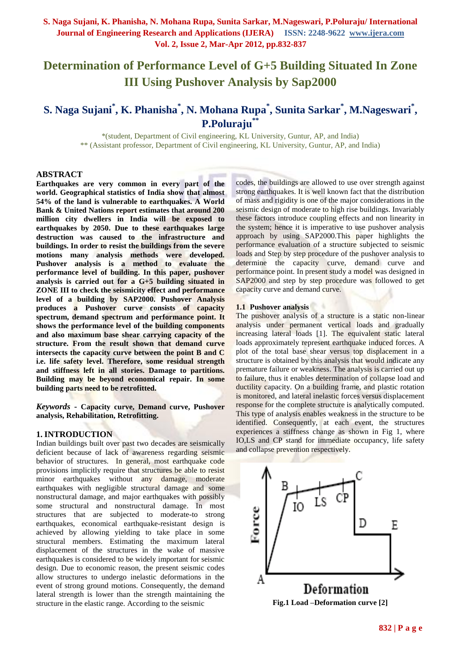# **Determination of Performance Level of G+5 Building Situated In Zone III Using Pushover Analysis by Sap2000**

# **S. Naga Sujani\* , K. Phanisha\* , N. Mohana Rupa\* , Sunita Sarkar\* , M.Nageswari\* , P.Poluraju\*\***

\*(student, Department of Civil engineering, KL University, Guntur, AP, and India) \*\* (Assistant professor, Department of Civil engineering, KL University, Guntur, AP, and India)

#### **ABSTRACT**

**Earthquakes are very common in every part of the world. Geographical statistics of India show that almost 54% of the land is vulnerable to earthquakes. A World Bank & United Nations report estimates that around 200 million city dwellers in India will be exposed to earthquakes by 2050. Due to these earthquakes large destruction was caused to the infrastructure and buildings. In order to resist the buildings from the severe motions many analysis methods were developed. Pushover analysis is a method to evaluate the performance level of building. In this paper, pushover analysis is carried out for a G+5 building situated in ZONE III to check the seismicity effect and performance level of a building by SAP2000. Pushover Analysis produces a Pushover curve consists of capacity spectrum, demand spectrum and performance point. It shows the performance level of the building components and also maximum base shear carrying capacity of the structure. From the result shown that demand curve intersects the capacity curve between the point B and C i.e. life safety level. Therefore, some residual strength and stiffness left in all stories. Damage to partitions. Building may be beyond economical repair. In some building parts need to be retrofitted.** 

*Keywords* **- Capacity curve, Demand curve, Pushover analysis, Rehabilitation, Retrofitting.**

#### **1. INTRODUCTION**

Indian buildings built over past two decades are seismically deficient because of lack of awareness regarding seismic behavior of structures. In general, most earthquake code provisions implicitly require that structures be able to resist minor earthquakes without any damage, moderate earthquakes with negligible structural damage and some nonstructural damage, and major earthquakes with possibly some structural and nonstructural damage. In most structures that are subjected to moderate-to strong earthquakes, economical earthquake-resistant design is achieved by allowing yielding to take place in some structural members. Estimating the maximum lateral displacement of the structures in the wake of massive earthquakes is considered to be widely important for seismic design. Due to economic reason, the present seismic codes allow structures to undergo inelastic deformations in the event of strong ground motions. Consequently, the demand lateral strength is lower than the strength maintaining the structure in the elastic range. According to the seismic

codes, the buildings are allowed to use over strength against strong earthquakes. It is well known fact that the distribution of mass and rigidity is one of the major considerations in the seismic design of moderate to high rise buildings. Invariably these factors introduce coupling effects and non linearity in the system; hence it is imperative to use pushover analysis approach by using SAP2000.This paper highlights the performance evaluation of a structure subjected to seismic loads and Step by step procedure of the pushover analysis to determine the capacity curve, demand curve and performance point. In present study a model was designed in SAP2000 and step by step procedure was followed to get capacity curve and demand curve.

#### **1.1 Pushover analysis**

The pushover analysis of a structure is a static non-linear analysis under permanent vertical loads and gradually increasing lateral loads [1]. The equivalent static lateral loads approximately represent earthquake induced forces. A plot of the total base shear versus top displacement in a structure is obtained by this analysis that would indicate any premature failure or weakness. The analysis is carried out up to failure, thus it enables determination of collapse load and ductility capacity. On a building frame, and plastic rotation is monitored, and lateral inelastic forces versus displacement response for the complete structure is analytically computed. This type of analysis enables weakness in the structure to be identified. Consequently, at each event, the structures experiences a stiffness change as shown in Fig 1, where IO,LS and CP stand for immediate occupancy, life safety and collapse prevention respectively.



**Fig.1 Load –Deformation curve [2]**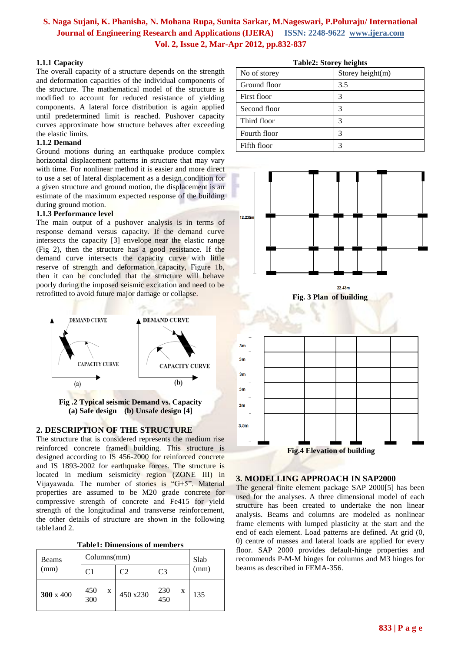## **1.1.1 Capacity**

The overall capacity of a structure depends on the strength and deformation capacities of the individual components of the structure. The mathematical model of the structure is modified to account for reduced resistance of yielding components. A lateral force distribution is again applied until predetermined limit is reached. Pushover capacity curves approximate how structure behaves after exceeding the elastic limits.

#### **1.1.2 Demand**

Ground motions during an earthquake produce complex horizontal displacement patterns in structure that may vary with time. For nonlinear method it is easier and more direct to use a set of lateral displacement as a design condition for a given structure and ground motion, the displacement is an estimate of the maximum expected response of the building during ground motion.

## **1.1.3 Performance level**

The main output of a pushover analysis is in terms of response demand versus capacity. If the demand curve intersects the capacity [3] envelope near the elastic range (Fig 2), then the structure has a good resistance. If the demand curve intersects the capacity curve with little reserve of strength and deformation capacity, Figure 1b, then it can be concluded that the structure will behave poorly during the imposed seismic excitation and need to be retrofitted to avoid future major damage or collapse.



**Fig .2 Typical seismic Demand vs. Capacity (a) Safe design (b) Unsafe design [4]**

## **2. DESCRIPTION OF THE STRUCTURE**

The structure that is considered represents the medium rise reinforced concrete framed building. This structure is designed according to IS 456-2000 for reinforced concrete and IS 1893-2002 for earthquake forces. The structure is located in medium seismicity region (ZONE III) in Vijayawada. The number of stories is "G+5". Material properties are assumed to be M20 grade concrete for compressive strength of concrete and Fe415 for yield strength of the longitudinal and transverse reinforcement, the other details of structure are shown in the following table1and 2.

|  | <b>Table1: Dimensions of members</b> |  |  |
|--|--------------------------------------|--|--|
|--|--------------------------------------|--|--|

| Beams            | Columns(mm)     | Slab     |                             |      |
|------------------|-----------------|----------|-----------------------------|------|
| (mm)             | C1              |          | C <sub>3</sub>              | (mm) |
| $300 \times 400$ | 450<br>X<br>300 | 450 x230 | 230<br>X<br>$\frac{1}{450}$ | 135  |

| No of storey | Storey height $(m)$ |
|--------------|---------------------|
| Ground floor | 3.5                 |
| First floor  | 3                   |
| Second floor | 3                   |
| Third floor  |                     |
| Fourth floor | 3                   |
| Fifth floor  |                     |

**Table2: Storey heights**



## **3. MODELLING APPROACH IN SAP2000**

The general finite element package SAP 2000[5] has been used for the analyses. A three dimensional model of each structure has been created to undertake the non linear analysis. Beams and columns are modeled as nonlinear frame elements with lumped plasticity at the start and the end of each element. Load patterns are defined. At grid (0, 0) centre of masses and lateral loads are applied for every floor. SAP 2000 provides default-hinge properties and recommends P-M-M hinges for columns and M3 hinges for beams as described in FEMA-356.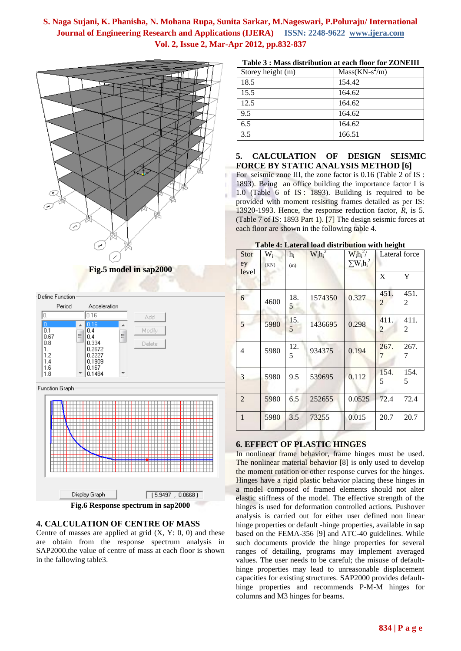i.



#### **Fig.5 model in sap2000**

Define Function





## **4. CALCULATION OF CENTRE OF MASS**

Centre of masses are applied at grid  $(X, Y: 0, 0)$  and these are obtain from the response spectrum analysis in SAP2000.the value of centre of mass at each floor is shown in the fallowing table3.

| Table 3 : Mass distribution at each floor for ZONEIII |  |
|-------------------------------------------------------|--|
|-------------------------------------------------------|--|

| Storey height (m) | $Mass(KN-s^2/m)$ |
|-------------------|------------------|
| 18.5              | 154.42           |
| 15.5              | 164.62           |
| 12.5              | 164.62           |
| 9.5               | 164.62           |
| 6.5               | 164.62           |
| 3.5               | 166.51           |

#### **5. CALCULATION OF DESIGN SEISMIC FORCE BY STATIC ANALYSIS METHOD [6]**

For seismic zone III, the zone factor is 0.16 (Table 2 of IS : 1893). Being an office building the importance factor I is 1.0 (Table 6 of IS : 1893). Building is required to be provided with moment resisting frames detailed as per IS: 13920-1993. Hence, the response reduction factor, *R*, is 5. (Table 7 of IS: 1893 Part 1). [7] The design seismic forces at each floor are shown in the following table 4.

| Stor<br>ey     | $W_i$<br>(KN) | $h_i$<br>(m) | $W_i h_i^2$ | $W_i h_i^2/$<br>$\sum W_i h_i^2$ | Lateral force          |           |
|----------------|---------------|--------------|-------------|----------------------------------|------------------------|-----------|
| level          |               |              |             |                                  | X                      | Y         |
| 6              | 4600          | 18.<br>5     | 1574350     | 0.327                            | 451.<br>2              | 451.<br>2 |
| 5              | 5980          | 15.<br>5     | 1436695     | 0.298                            | 411.<br>$\overline{2}$ | 411.<br>2 |
| $\overline{4}$ | 5980          | 12.<br>5     | 934375      | 0.194                            | 267.<br>7              | 267.<br>7 |
| 3              | 5980          | 9.5          | 539695      | 0.112                            | 154.<br>5              | 154.<br>5 |
| $\overline{2}$ | 5980          | 6.5          | 252655      | 0.0525                           | 72.4                   | 72.4      |
| $\mathbf{1}$   | 5980          | 3.5          | 73255       | 0.015                            | 20.7                   | 20.7      |

#### **Table 4: Lateral load distribution with height**

## **6. EFFECT OF PLASTIC HINGES**

In nonlinear frame behavior, frame hinges must be used. The nonlinear material behavior [8] is only used to develop the moment rotation or other response curves for the hinges. Hinges have a rigid plastic behavior placing these hinges in a model composed of framed elements should not alter elastic stiffness of the model. The effective strength of the hinges is used for deformation controlled actions. Pushover analysis is carried out for either user defined non linear hinge properties or default -hinge properties, available in sap based on the FEMA-356 [9] and ATC-40 guidelines. While such documents provide the hinge properties for several ranges of detailing, programs may implement averaged values. The user needs to be careful; the misuse of defaulthinge properties may lead to unreasonable displacement capacities for existing structures. SAP2000 provides defaulthinge properties and recommends P-M-M hinges for columns and M3 hinges for beams.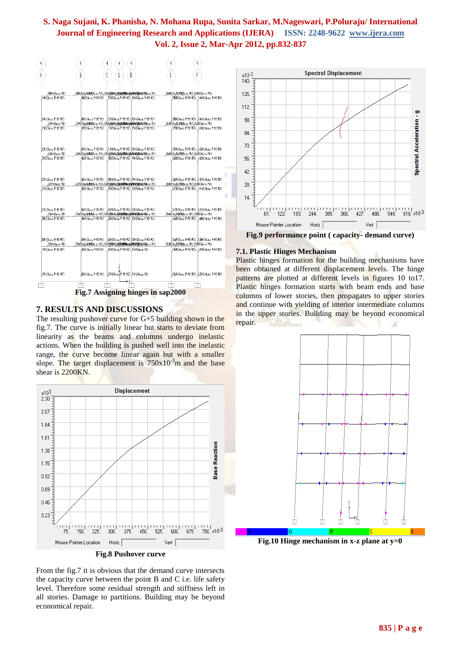| 4                    | 4<br>4<br>4<br>4                                                        | 4<br>4                                        |
|----------------------|-------------------------------------------------------------------------|-----------------------------------------------|
| Å                    | Ċ<br>B<br>ĥ<br>$\begin{array}{c} \n\end{array}$                         | F<br>Ė                                        |
| 248H1(Auto M3)       | 24BH2(Au346MJ)Auto M3) 248H2(\$6Hb(#558MB4(#56BH2)BB58UH(\$)to M3)      | 25842 (Au264M30Auto M3) 264H2 (Auto M3)       |
| 24H2(Auto P-M2-N3)   | 4842(Auto P-K2-K3) 72K2(Auto P-K2-K3) 96H2(Auto P-K2-K3)                | 128H2(Auto P-M2-M3) 144H2(Auto P-M2-M3)       |
| 24HJYAu16 P-M2-MJ)   | 48HJ/Auto P-K2-M3)   72HJ/Auto P-K2-M3)   96HJ/Auto P-K2-M3)            | 128HJ (Auto: P-M2-N3)   144HJ (Auto: P-M2-M3) |
| 239HJ (Auto MJ)      | 239H2(Au265MJ3Auto M3) 245H26KOHJ6H6KOBBNHM6H6H8H9BN5RHJMB0to M3)       | 257H2(Au263M30Auto M3).263H2(Auto M3).        |
| 2JH2(Auto P-N2-N3)   | 4742(Auto P-K2-M3) 7.1H2(Auto P-K2-M3) 75H2(Auto P-K2-M3)               | 119H2 (Auto P-N2-N3) 143H2 (Auto P-N2-N3)     |
| 2JHJ(Auto P-M2-MJ)   | 47HJ(Acto P-K2-K3)   7JHJ(Acto P-K2-K3)   95HJ (Acto P-K2-K3)           | JJPHJ/Auto P-M2-N3)  J43HJ/Auto P-M2-N3)      |
| 238H (Auto MJ)       | 238H2(Au344MJ)Auto N3) 244H2(AHLH) AUTOHAMAN (ALINOMISSAH JIJA) La N3)  | 25442(Au262H30Auto M3) 262H2(Auto M3)         |
| 22H2(Auto P-M2-N3)   | 4642(Auto P-K2-K3) 78H2(Auto P-K2-K3) 94H2(Auto P-K2-K3)                | J18H2(Auto P-M2-M3)   J42H2(Auto P-M2-M3)     |
| 22HJ(Auto P-M2-NJ)   |                                                                         | 18H1(Auto P-M2-N3)   42H1(Auto P-M2-N3)       |
| 237H1(Auto MJ)       | ,237H2(Au26JMJ)Au1o, M3),243H3(Wallk(Malabumph) (Mameringastuma) Lo M3) | 255H2 (Au261N30Au (a. M3), 261H2 (Au 1a M3)   |
| 2 H2 (Auto P-N2-N3)  | 4942(Auto P-12-13) 6912(Auto P-12-13) 9342(Auto P-12-13)                | JJ7H2(Auto P-M2-N3) JAIH2(Auto P-M2-N3)       |
| 2 H J (Auto P-N2-N3) | 45HJ/A, La P-K2-K3) 89HJ/A, La P-K2-K3) 93HJ/A, La P-K2-K3)             | 117H1/Auto P-M2-N3) 141H1/Auto P-M2-N3)       |
| 236H (Auto MJ)       | 236H2(Au342MJ)Au10 M3) 242H26AU1L(AEXHEREN (AEREHRIGEAUDEA) La M3)      | 254 2 (Au260M30Auto M3) 268H2 (Auto M3)       |
| 2BH2(Auto P-M2-NJ)   | 44/2/Auto P-K2-M3) 68/2/Auto P-K2-M3) 92/2/Auto P-K2-M3)                | J16H2(Auto P-M2-N3) J40H2(Auto P-M2-N3)       |
| 20H1/Auto P-M2-M3)   | 4441(Auto P-K2-K3) 68H1(Auto P-K2-K3) 92H1(Auto P-K2-K3)                | 116H1/Auto P-M2-N3) 148H1/Auto P-M2-N3)       |
| 235H1(Auto M3)       | 235H2(Au86H1) Mauto H3) 24 H2(AAH) (AU8040104 (AU80401056526H(A) to M3) | 25342 (Au269M30Auto M3) 269H2 (Auto M3)       |
| 1962 (Auto P-N2-N3)  | 4342(Auto P-K2-K3) 67H2(Auto P-K2-K3) 7 H2(Auto K3)                     | 115H2(Auto P-N2-N3) 139H2(Auto P-N2-N3)       |
| JPHJ/Auto P-M2-NJ)   | 67HI(Auto P-N2-M3) 9 JHJ (Auto M3)<br>43HI/A.I. P-K2-K3)                | 115H1(Auto P-M2-N3) 139H1(Auto P-M2-M3)       |

**Fig.7 Assigning hinges in sap2000**

## **7. RESULTS AND DISCUSSIONS**

 $\langle \cdot \rangle$ 

The resulting pushover curve for G+5 building shown in the fig.7. The curve is initially linear but starts to deviate from linearity as the beams and columns undergo inelastic actions. When the building is pushed well into the inelastic range, the curve become linear again but with a smaller slope. The target displacement is  $750x10^{-3}$ m and the base shear is 2200KN.







#### **7.1. Plastic Hinges Mechanism**

Plastic hinges formation for the building mechanisms have been obtained at different displacement levels. The hinge patterns are plotted at different levels in figures 10 to17. Plastic hinges formation starts with beam ends and base columns of lower stories, then propagates to upper stories and continue with yielding of interior intermediate columns in the upper stories. Building may be beyond economical repair.



**Fig.10 Hinge mechanism in x-z plane at y=0**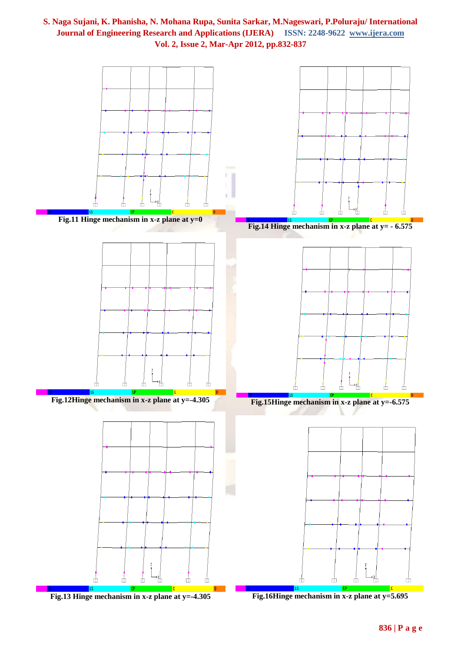







**Fig.15Hinge mechanism in x-z plane at y=-6.575**



**Fig.16Hinge mechanism in x-z plane at y=5.695**